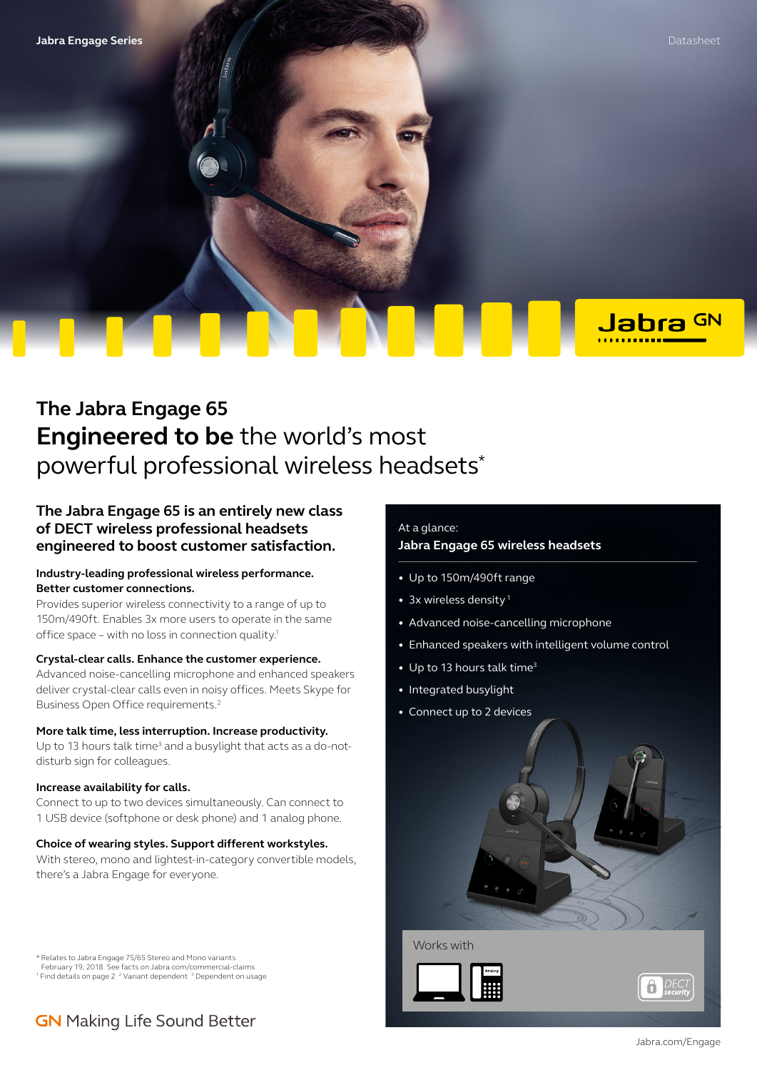Jabra GN

# **The Jabra Engage 65 Engineered to be** the world's most powerful professional wireless headsets\*

### **The Jabra Engage 65 is an entirely new class of DECT wireless professional headsets engineered to boost customer satisfaction.**

### **Industry-leading professional wireless performance. Better customer connections.**

Provides superior wireless connectivity to a range of up to 150m/490ft. Enables 3x more users to operate in the same office space – with no loss in connection quality.1

### **Crystal-clear calls. Enhance the customer experience.**

Advanced noise-cancelling microphone and enhanced speakers deliver crystal-clear calls even in noisy offices. Meets Skype for Business Open Office requirements.2

#### **More talk time, less interruption. Increase productivity.**

Up to 13 hours talk time<sup>3</sup> and a busylight that acts as a do-notdisturb sign for colleagues.

#### **Increase availability for calls.**

Connect to up to two devices simultaneously. Can connect to 1 USB device (softphone or desk phone) and 1 analog phone.

### **Choice of wearing styles. Support different workstyles.**

With stereo, mono and lightest-in-category convertible models, there's a Jabra Engage for everyone.

\* Relates to Jabra Engage 75/65 Stereo and Mono variants.

February 19, 2018. See facts on Jabra.com/commercial-claims <sup>1</sup> Find details on page 2<sup>2</sup> Variant dependent<sup>3</sup> Dependent on usage

## **GN** Making Life Sound Better

### At a glance:

### **Jabra Engage 65 wireless headsets**

- Up to 150m/490ft range
- 3x wireless density<sup>1</sup>
- Advanced noise-cancelling microphone
- Enhanced speakers with intelligent volume control
- Up to 13 hours talk time<sup>3</sup>
- Integrated busylight
- Connect up to 2 devices